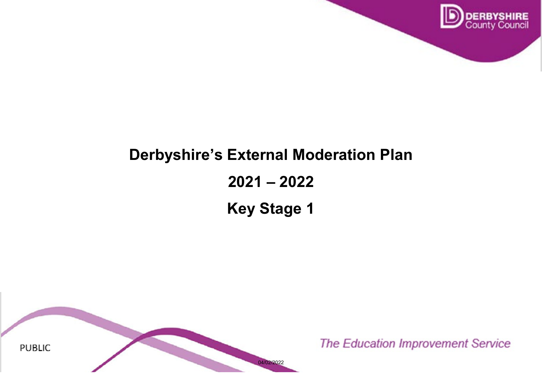

# **Derbyshire's External Moderation Plan 2021 – 2022 Key Stage 1**

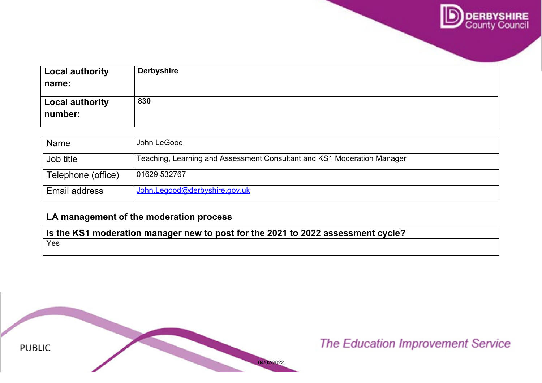

| <b>Local authority</b><br>name:   | <b>Derbyshire</b> |
|-----------------------------------|-------------------|
| <b>Local authority</b><br>number: | 830               |

| <b>Name</b>        | John LeGood                                                             |
|--------------------|-------------------------------------------------------------------------|
| Job title          | Teaching, Learning and Assessment Consultant and KS1 Moderation Manager |
| Telephone (office) | 01629 532767                                                            |
| Email address      | John.Legood@derbyshire.gov.uk                                           |

# **LA management of the moderation process**

**Is the KS1 moderation manager new to post for the 2021 to 2022 assessment cycle?**  Yes

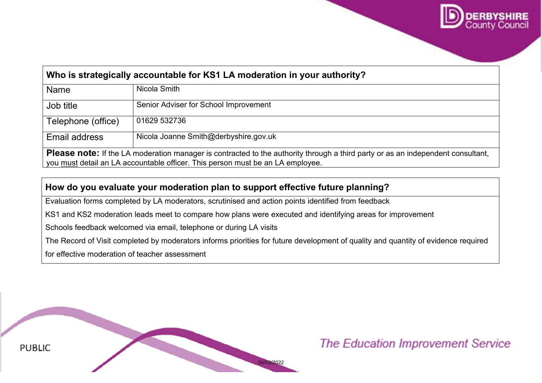

# **Who is strategically accountable for KS1 LA moderation in your authority?**  Name Nicola Smith Job title Senior Adviser for School Improvement Telephone (office)  $\vert$  01629 532736 Email address | Nicola Joanne Smith@derbyshire.gov.uk

**Please note:** If the LA moderation manager is contracted to the authority through a third party or as an independent consultant, you must detail an LA accountable officer. This person must be an LA employee.

# **How do you evaluate your moderation plan to support effective future planning?**

Evaluation forms completed by LA moderators, scrutinised and action points identified from feedback

KS1 and KS2 moderation leads meet to compare how plans were executed and identifying areas for improvement

Schools feedback welcomed via email, telephone or during LA visits

The Record of Visit completed by moderators informs priorities for future development of quality and quantity of evidence required

for effective moderation of teacher assessment

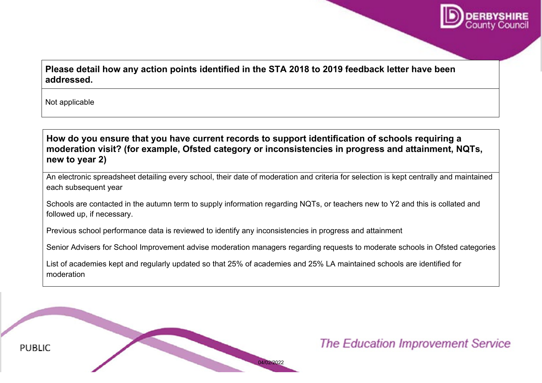

# **Please detail how any action points identified in the STA 2018 to 2019 feedback letter have been addressed.**

Not applicable

**How do you ensure that you have current records to support identification of schools requiring a moderation visit? (for example, Ofsted category or inconsistencies in progress and attainment, NQTs, new to year 2)**

An electronic spreadsheet detailing every school, their date of moderation and criteria for selection is kept centrally and maintained each subsequent year

Schools are contacted in the autumn term to supply information regarding NQTs, or teachers new to Y2 and this is collated and followed up, if necessary.

Previous school performance data is reviewed to identify any inconsistencies in progress and attainment

Senior Advisers for School Improvement advise moderation managers regarding requests to moderate schools in Ofsted categories

List of academies kept and regularly updated so that 25% of academies and 25% LA maintained schools are identified for moderation

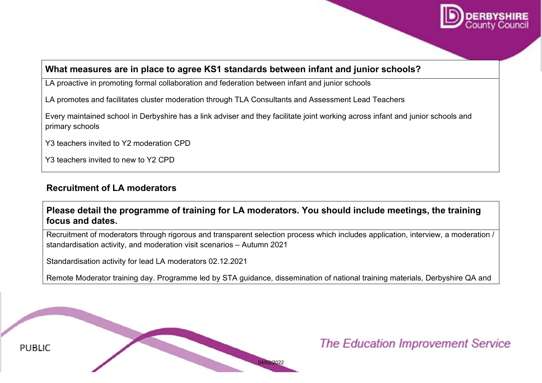

#### **What measures are in place to agree KS1 standards between infant and junior schools?**

LA proactive in promoting formal collaboration and federation between infant and junior schools

LA promotes and facilitates cluster moderation through TLA Consultants and Assessment Lead Teachers

Every maintained school in Derbyshire has a link adviser and they facilitate joint working across infant and junior schools and primary schools

Y3 teachers invited to Y2 moderation CPD

Y3 teachers invited to new to Y2 CPD

## **Recruitment of LA moderators**

## **Please detail the programme of training for LA moderators. You should include meetings, the training focus and dates.**

Recruitment of moderators through rigorous and transparent selection process which includes application, interview, a moderation / standardisation activity, and moderation visit scenarios – Autumn 2021

Standardisation activity for lead LA moderators 02.12.2021

Remote Moderator training day. Programme led by STA guidance, dissemination of national training materials, Derbyshire QA and

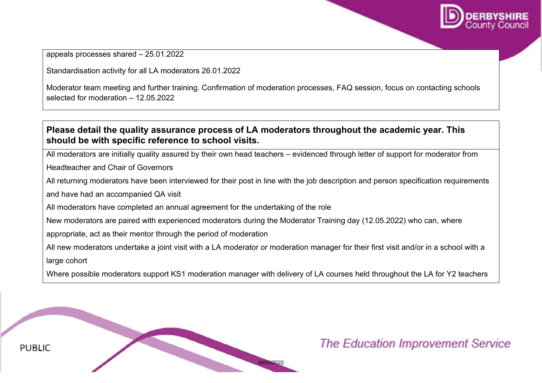

appeals processes shared – 25.01.2022

Standardisation activity for all LA moderators 26.01.2022

Moderator team meeting and further training. Confirmation of moderation processes, FAQ session, focus on contacting schools selected for moderation – 12.05.2022

## **Please detail the quality assurance process of LA moderators throughout the academic year. This should be with specific reference to school visits.**

All moderators are initially quality assured by their own head teachers – evidenced through letter of support for moderator from

Headteacher and Chair of Governors

All returning moderators have been interviewed for their post in line with the job description and person specification requirements

and have had an accompanied QA visit

All moderators have completed an annual agreement for the undertaking of the role

New moderators are paired with experienced moderators during the Moderator Training day (12.05.2022) who can, where

appropriate, act as their mentor through the period of moderation

All new moderators undertake a joint visit with a LA moderator or moderation manager for their first visit and/or in a school with a large cohort

Where possible moderators support KS1 moderation manager with delivery of LA courses held throughout the LA for Y2 teachers

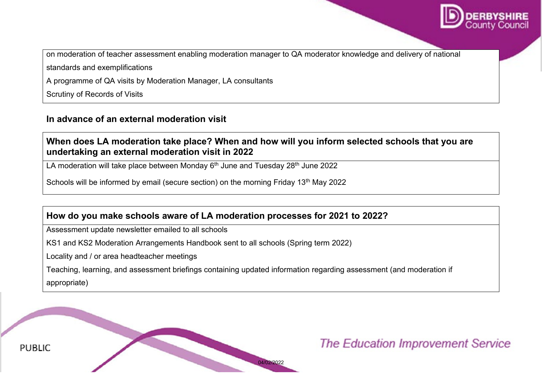

on moderation of teacher assessment enabling moderation manager to QA moderator knowledge and delivery of national

standards and exemplifications

A programme of QA visits by Moderation Manager, LA consultants

Scrutiny of Records of Visits

#### **In advance of an external moderation visit**

## **When does LA moderation take place? When and how will you inform selected schools that you are undertaking an external moderation visit in 2022**

LA moderation will take place between Monday  $6<sup>th</sup>$  June and Tuesday 28<sup>th</sup> June 2022

Schools will be informed by email (secure section) on the morning Friday 13<sup>th</sup> May 2022

## **How do you make schools aware of LA moderation processes for 2021 to 2022?**

Assessment update newsletter emailed to all schools

KS1 and KS2 Moderation Arrangements Handbook sent to all schools (Spring term 2022)

Locality and / or area headteacher meetings

Teaching, learning, and assessment briefings containing updated information regarding assessment (and moderation if appropriate)

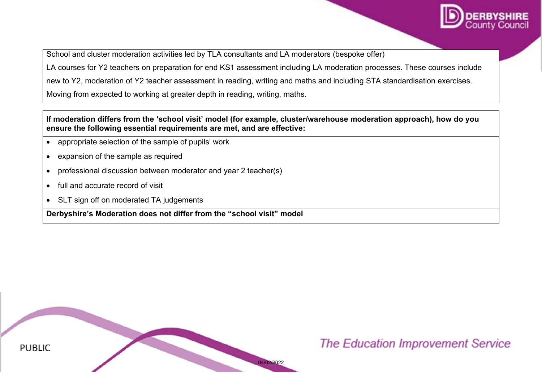

School and cluster moderation activities led by TLA consultants and LA moderators (bespoke offer)

LA courses for Y2 teachers on preparation for end KS1 assessment including LA moderation processes. These courses include

new to Y2, moderation of Y2 teacher assessment in reading, writing and maths and including STA standardisation exercises.

Moving from expected to working at greater depth in reading, writing, maths.

#### **If moderation differs from the 'school visit' model (for example, cluster/warehouse moderation approach), how do you ensure the following essential requirements are met, and are effective:**

- appropriate selection of the sample of pupils' work
- expansion of the sample as required
- professional discussion between moderator and year 2 teacher(s)
- full and accurate record of visit
- SLT sign off on moderated TA judgements

**Derbyshire's Moderation does not differ from the "school visit" model**

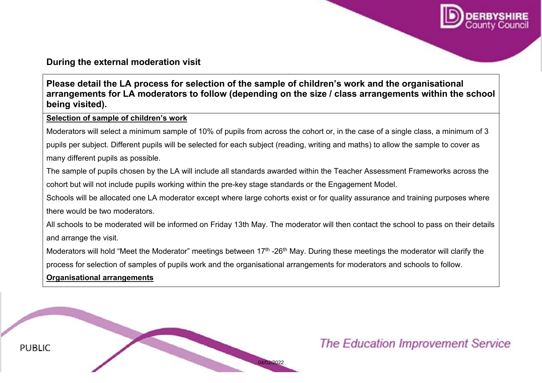

#### **During the external moderation visit**

**Please detail the LA process for selection of the sample of children's work and the organisational arrangements for LA moderators to follow (depending on the size / class arrangements within the school being visited).** 

#### **Selection of sample of children's work**

Moderators will select a minimum sample of 10% of pupils from across the cohort or, in the case of a single class, a minimum of 3

pupils per subject. Different pupils will be selected for each subject (reading, writing and maths) to allow the sample to cover as many different pupils as possible.

The sample of pupils chosen by the LA will include all standards awarded within the Teacher Assessment Frameworks across the cohort but will not include pupils working within the pre-key stage standards or the Engagement Model.

Schools will be allocated one LA moderator except where large cohorts exist or for quality assurance and training purposes where there would be two moderators.

All schools to be moderated will be informed on Friday 13th May. The moderator will then contact the school to pass on their details and arrange the visit.

Moderators will hold "Meet the Moderator" meetings between 17<sup>th</sup> -26<sup>th</sup> May. During these meetings the moderator will clarify the process for selection of samples of pupils work and the organisational arrangements for moderators and schools to follow.

#### **Organisational arrangements**

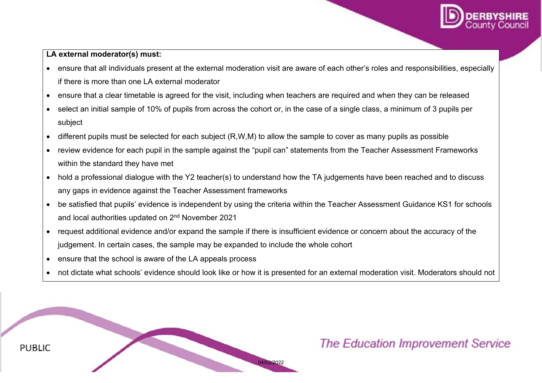

#### **LA external moderator(s) must:**

- ensure that all individuals present at the external moderation visit are aware of each other's roles and responsibilities, especially if there is more than one LA external moderator
- ensure that a clear timetable is agreed for the visit, including when teachers are required and when they can be released
- select an initial sample of 10% of pupils from across the cohort or, in the case of a single class, a minimum of 3 pupils per subject
- different pupils must be selected for each subject (R,W,M) to allow the sample to cover as many pupils as possible
- review evidence for each pupil in the sample against the "pupil can" statements from the Teacher Assessment Frameworks within the standard they have met
- hold a professional dialogue with the Y2 teacher(s) to understand how the TA judgements have been reached and to discuss any gaps in evidence against the Teacher Assessment frameworks
- be satisfied that pupils' evidence is independent by using the criteria within the Teacher Assessment Guidance KS1 for schools and local authorities updated on 2nd November 2021
- request additional evidence and/or expand the sample if there is insufficient evidence or concern about the accuracy of the judgement. In certain cases, the sample may be expanded to include the whole cohort
- ensure that the school is aware of the LA appeals process
- not dictate what schools' evidence should look like or how it is presented for an external moderation visit. Moderators should not

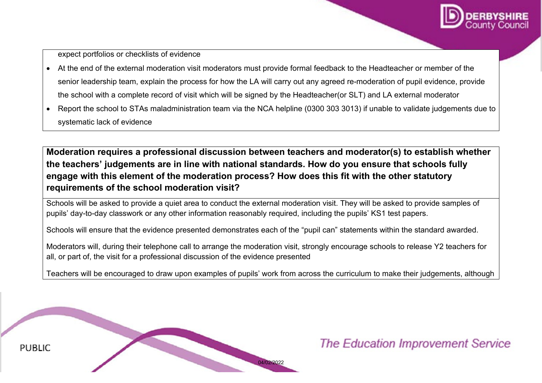

expect portfolios or checklists of evidence

- At the end of the external moderation visit moderators must provide formal feedback to the Headteacher or member of the senior leadership team, explain the process for how the LA will carry out any agreed re-moderation of pupil evidence, provide the school with a complete record of visit which will be signed by the Headteacher(or SLT) and LA external moderator
- Report the school to STAs maladministration team via the NCA helpline (0300 303 3013) if unable to validate judgements due to systematic lack of evidence

**Moderation requires a professional discussion between teachers and moderator(s) to establish whether the teachers' judgements are in line with national standards. How do you ensure that schools fully engage with this element of the moderation process? How does this fit with the other statutory requirements of the school moderation visit?** 

Schools will be asked to provide a quiet area to conduct the external moderation visit. They will be asked to provide samples of pupils' day-to-day classwork or any other information reasonably required, including the pupils' KS1 test papers.

Schools will ensure that the evidence presented demonstrates each of the "pupil can" statements within the standard awarded.

Moderators will, during their telephone call to arrange the moderation visit, strongly encourage schools to release Y2 teachers for all, or part of, the visit for a professional discussion of the evidence presented

Teachers will be encouraged to draw upon examples of pupils' work from across the curriculum to make their judgements, although

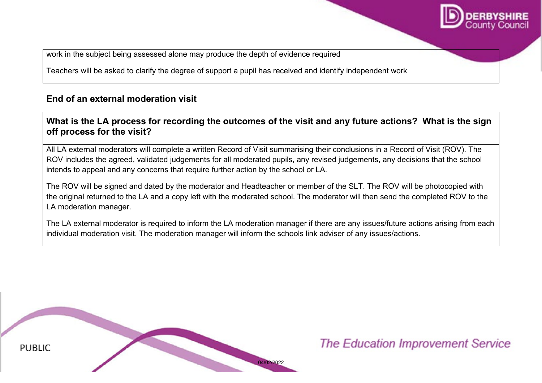

work in the subject being assessed alone may produce the depth of evidence required

Teachers will be asked to clarify the degree of support a pupil has received and identify independent work

# **End of an external moderation visit**

# **What is the LA process for recording the outcomes of the visit and any future actions? What is the sign off process for the visit?**

All LA external moderators will complete a written Record of Visit summarising their conclusions in a Record of Visit (ROV). The ROV includes the agreed, validated judgements for all moderated pupils, any revised judgements, any decisions that the school intends to appeal and any concerns that require further action by the school or LA.

The ROV will be signed and dated by the moderator and Headteacher or member of the SLT. The ROV will be photocopied with the original returned to the LA and a copy left with the moderated school. The moderator will then send the completed ROV to the LA moderation manager.

The LA external moderator is required to inform the LA moderation manager if there are any issues/future actions arising from each individual moderation visit. The moderation manager will inform the schools link adviser of any issues/actions.

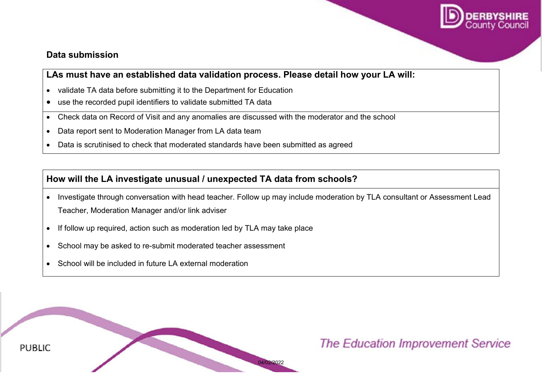

#### **Data submission**

# **LAs must have an established data validation process. Please detail how your LA will:**

- validate TA data before submitting it to the Department for Education
- use the recorded pupil identifiers to validate submitted TA data
- Check data on Record of Visit and any anomalies are discussed with the moderator and the school
- Data report sent to Moderation Manager from LA data team
- Data is scrutinised to check that moderated standards have been submitted as agreed

# **How will the LA investigate unusual / unexpected TA data from schools?**

- Investigate through conversation with head teacher. Follow up may include moderation by TLA consultant or Assessment Lead Teacher, Moderation Manager and/or link adviser
- If follow up required, action such as moderation led by TLA may take place
- School may be asked to re-submit moderated teacher assessment
- School will be included in future LA external moderation